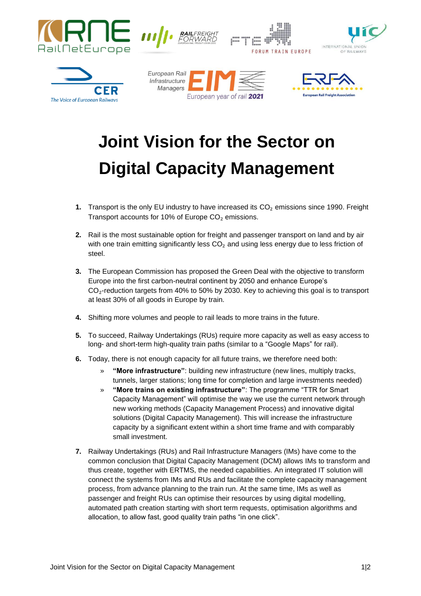

## **Joint Vision for the Sector on Digital Capacity Management**

- **1.** Transport is the only EU industry to have increased its CO<sub>2</sub> emissions since 1990. Freight Transport accounts for 10% of Europe  $CO<sub>2</sub>$  emissions.
- **2.** Rail is the most sustainable option for freight and passenger transport on land and by air with one train emitting significantly less  $CO<sub>2</sub>$  and using less energy due to less friction of steel.
- **3.** The European Commission has proposed the Green Deal with the objective to transform Europe into the first carbon-neutral continent by 2050 and enhance Europe's  $CO<sub>2</sub>$ -reduction targets from 40% to 50% by 2030. Key to achieving this goal is to transport at least 30% of all goods in Europe by train.
- **4.** Shifting more volumes and people to rail leads to more trains in the future.
- **5.** To succeed, Railway Undertakings (RUs) require more capacity as well as easy access to long- and short-term high-quality train paths (similar to a "Google Maps" for rail).
- **6.** Today, there is not enough capacity for all future trains, we therefore need both:
	- » **"More infrastructure"**: building new infrastructure (new lines, multiply tracks, tunnels, larger stations; long time for completion and large investments needed)
	- » **"More trains on existing infrastructure"**: The programme "TTR for Smart Capacity Management" will optimise the way we use the current network through new working methods (Capacity Management Process) and innovative digital solutions (Digital Capacity Management). This will increase the infrastructure capacity by a significant extent within a short time frame and with comparably small investment.
- **7.** Railway Undertakings (RUs) and Rail Infrastructure Managers (IMs) have come to the common conclusion that Digital Capacity Management (DCM) allows IMs to transform and thus create, together with ERTMS, the needed capabilities. An integrated IT solution will connect the systems from IMs and RUs and facilitate the complete capacity management process, from advance planning to the train run. At the same time, IMs as well as passenger and freight RUs can optimise their resources by using digital modelling, automated path creation starting with short term requests, optimisation algorithms and allocation, to allow fast, good quality train paths "in one click".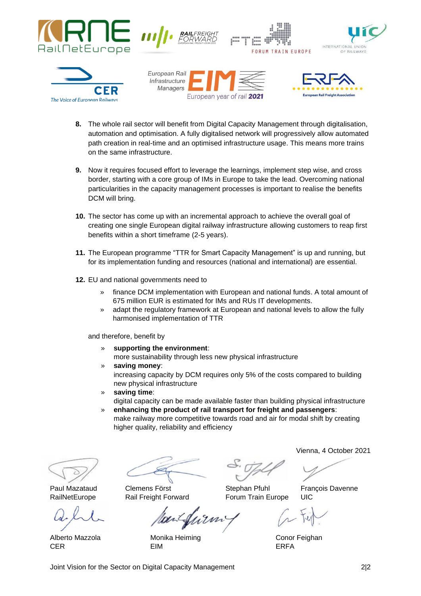













- **8.** The whole rail sector will benefit from Digital Capacity Management through digitalisation, automation and optimisation. A fully digitalised network will progressively allow automated path creation in real-time and an optimised infrastructure usage. This means more trains on the same infrastructure.
- **9.** Now it requires focused effort to leverage the learnings, implement step wise, and cross border, starting with a core group of IMs in Europe to take the lead. Overcoming national particularities in the capacity management processes is important to realise the benefits DCM will bring.
- **10.** The sector has come up with an incremental approach to achieve the overall goal of creating one single European digital railway infrastructure allowing customers to reap first benefits within a short timeframe (2-5 years).
- **11.** The European programme "TTR for Smart Capacity Management" is up and running, but for its implementation funding and resources (national and international) are essential.
- **12.** EU and national governments need to
	- » finance DCM implementation with European and national funds. A total amount of 675 million EUR is estimated for IMs and RUs IT developments.
	- » adapt the regulatory framework at European and national levels to allow the fully harmonised implementation of TTR

and therefore, benefit by

- » **supporting the environment**: more sustainability through less new physical infrastructure
- » **saving money**: increasing capacity by DCM requires only 5% of the costs compared to building new physical infrastructure
- » **saving time**: digital capacity can be made available faster than building physical infrastructure
- » **enhancing the product of rail transport for freight and passengers**: make railway more competitive towards road and air for modal shift by creating higher quality, reliability and efficiency

Alberto Mazzola **Monika Heiming** Conor Feighan CER EIM ERFA

Vienna, 4 October 2021

Paul Mazataud Clemens Först **Stephan Pfuhl François Davenne** 

RailNetEurope Rail Freight Forward Forum Train Europe UIC

Joint Vision for the Sector on Digital Capacity Management 2|2